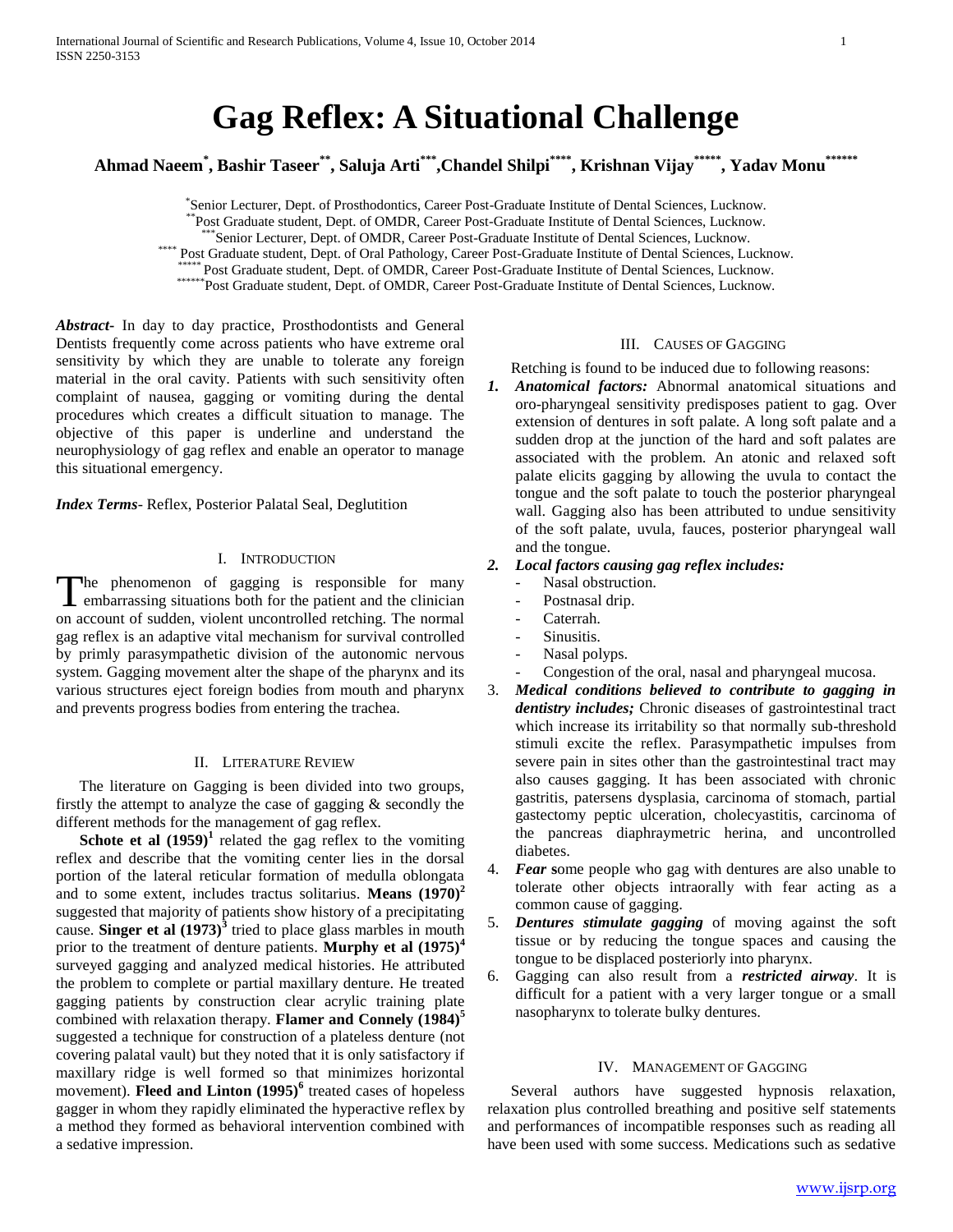# **Gag Reflex: A Situational Challenge**

**Ahmad Naeem\* , Bashir Taseer\*\*, Saluja Arti\*\*\*,Chandel Shilpi\*\*\*\*, Krishnan Vijay\*\*\*\*\*, Yadav Monu\*\*\*\*\*\***

\* Senior Lecturer, Dept. of Prosthodontics, Career Post-Graduate Institute of Dental Sciences, Lucknow.

\*\*Post Graduate student, Dept. of OMDR, Career Post-Graduate Institute of Dental Sciences, Lucknow.

\*Senior Lecturer, Dept. of OMDR, Career Post-Graduate Institute of Dental Sciences, Lucknow.

\*\*\*\* Post Graduate student, Dept. of Oral Pathology, Career Post-Graduate Institute of Dental Sciences, Lucknow.

\* Post Graduate student, Dept. of OMDR, Career Post-Graduate Institute of Dental Sciences, Lucknow.

\*\*\*\*\*\*\*Post Graduate student, Dept. of OMDR, Career Post-Graduate Institute of Dental Sciences, Lucknow.

*Abstract***-** In day to day practice, Prosthodontists and General Dentists frequently come across patients who have extreme oral sensitivity by which they are unable to tolerate any foreign material in the oral cavity. Patients with such sensitivity often complaint of nausea, gagging or vomiting during the dental procedures which creates a difficult situation to manage. The objective of this paper is underline and understand the neurophysiology of gag reflex and enable an operator to manage this situational emergency.

*Index Terms*- Reflex, Posterior Palatal Seal, Deglutition

#### I. INTRODUCTION

he phenomenon of gagging is responsible for many The phenomenon of gagging is responsible for many<br>embarrassing situations both for the patient and the clinician on account of sudden, violent uncontrolled retching. The normal gag reflex is an adaptive vital mechanism for survival controlled by primly parasympathetic division of the autonomic nervous system. Gagging movement alter the shape of the pharynx and its various structures eject foreign bodies from mouth and pharynx and prevents progress bodies from entering the trachea.

#### II. LITERATURE REVIEW

The literature on Gagging is been divided into two groups, firstly the attempt to analyze the case of gagging  $\&$  secondly the different methods for the management of gag reflex.

**Schote et al**  $(1959)^1$  related the gag reflex to the vomiting reflex and describe that the vomiting center lies in the dorsal portion of the lateral reticular formation of medulla oblongata and to some extent, includes tractus solitarius. **Means (1970)<sup>2</sup>** suggested that majority of patients show history of a precipitating cause. **Singer et al**  $(1973)^3$  tried to place glass marbles in mouth prior to the treatment of denture patients. **Murphy et al (1975)<sup>4</sup>** surveyed gagging and analyzed medical histories. He attributed the problem to complete or partial maxillary denture. He treated gagging patients by construction clear acrylic training plate combined with relaxation therapy. **Flamer and Connely (1984)<sup>5</sup>** suggested a technique for construction of a plateless denture (not covering palatal vault) but they noted that it is only satisfactory if maxillary ridge is well formed so that minimizes horizontal movement). **Fleed and Linton (1995)<sup>6</sup>** treated cases of hopeless gagger in whom they rapidly eliminated the hyperactive reflex by a method they formed as behavioral intervention combined with a sedative impression.

## III. CAUSES OF GAGGING

Retching is found to be induced due to following reasons:

*1. Anatomical factors:* Abnormal anatomical situations and oro-pharyngeal sensitivity predisposes patient to gag. Over extension of dentures in soft palate. A long soft palate and a sudden drop at the junction of the hard and soft palates are associated with the problem. An atonic and relaxed soft palate elicits gagging by allowing the uvula to contact the tongue and the soft palate to touch the posterior pharyngeal wall. Gagging also has been attributed to undue sensitivity of the soft palate, uvula, fauces, posterior pharyngeal wall and the tongue.

### *2. Local factors causing gag reflex includes:*

- Nasal obstruction.
- Postnasal drip.
- Caterrah.
- Sinusitis.
- Nasal polyps.
- Congestion of the oral, nasal and pharyngeal mucosa.
- 3. *Medical conditions believed to contribute to gagging in dentistry includes;* Chronic diseases of gastrointestinal tract which increase its irritability so that normally sub-threshold stimuli excite the reflex. Parasympathetic impulses from severe pain in sites other than the gastrointestinal tract may also causes gagging. It has been associated with chronic gastritis, patersens dysplasia, carcinoma of stomach, partial gastectomy peptic ulceration, cholecyastitis, carcinoma of the pancreas diaphraymetric herina, and uncontrolled diabetes.
- 4. *Fear* **s**ome people who gag with dentures are also unable to tolerate other objects intraorally with fear acting as a common cause of gagging.
- 5. *Dentures stimulate gagging* of moving against the soft tissue or by reducing the tongue spaces and causing the tongue to be displaced posteriorly into pharynx.
- 6. Gagging can also result from a *restricted airway*. It is difficult for a patient with a very larger tongue or a small nasopharynx to tolerate bulky dentures.

#### IV. MANAGEMENT OF GAGGING

Several authors have suggested hypnosis relaxation, relaxation plus controlled breathing and positive self statements and performances of incompatible responses such as reading all have been used with some success. Medications such as sedative